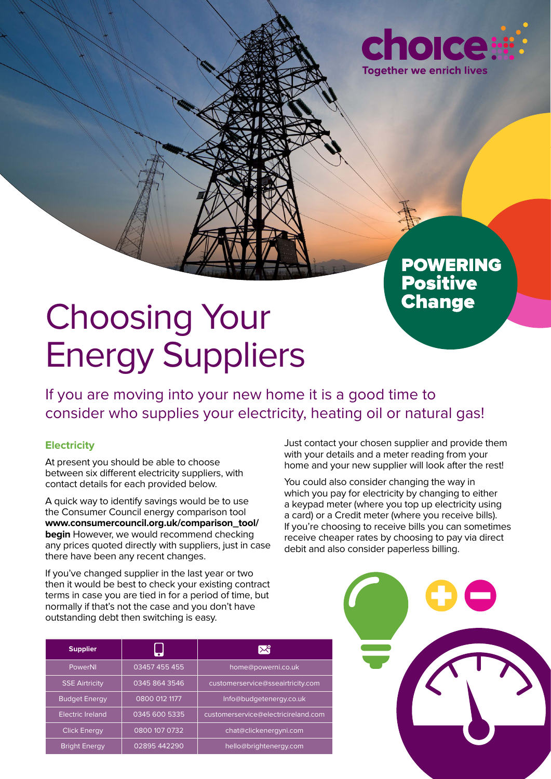

## **POWERING** Positive<br>Change

# Choosing Your Energy Suppliers

If you are moving into your new home it is a good time to consider who supplies your electricity, heating oil or natural gas!

#### **Electricity**

At present you should be able to choose between six different electricity suppliers, with contact details for each provided below.

A quick way to identify savings would be to use the Consumer Council energy comparison tool **www.consumercouncil.org.uk/comparison\_tool/ begin** However, we would recommend checking any prices quoted directly with suppliers, just in case there have been any recent changes.

If you've changed supplier in the last year or two then it would be best to check your existing contract terms in case you are tied in for a period of time, but normally if that's not the case and you don't have outstanding debt then switching is easy.

Just contact your chosen supplier and provide them with your details and a meter reading from your home and your new supplier will look after the rest!

You could also consider changing the way in which you pay for electricity by changing to either a keypad meter (where you top up electricity using a card) or a Credit meter (where you receive bills). If you're choosing to receive bills you can sometimes receive cheaper rates by choosing to pay via direct debit and also consider paperless billing.

| <b>Supplier</b>       |               | ₩                                   |
|-----------------------|---------------|-------------------------------------|
| PowerNI               | 03457 455 455 | home@powerni.co.uk                  |
| <b>SSE Airtricity</b> | 0345 864 3546 | customerservice@sseairtricity.com   |
| <b>Budget Energy</b>  | 0800 012 1177 | Info@budgetenergy.co.uk             |
| Electric Ireland      | 0345 600 5335 | customerservice@electricireland.com |
| <b>Click Energy</b>   | 0800 107 0732 | chat@clickenergyni.com              |
| <b>Bright Energy</b>  | 02895 442290  | hello@brightenergy.com              |